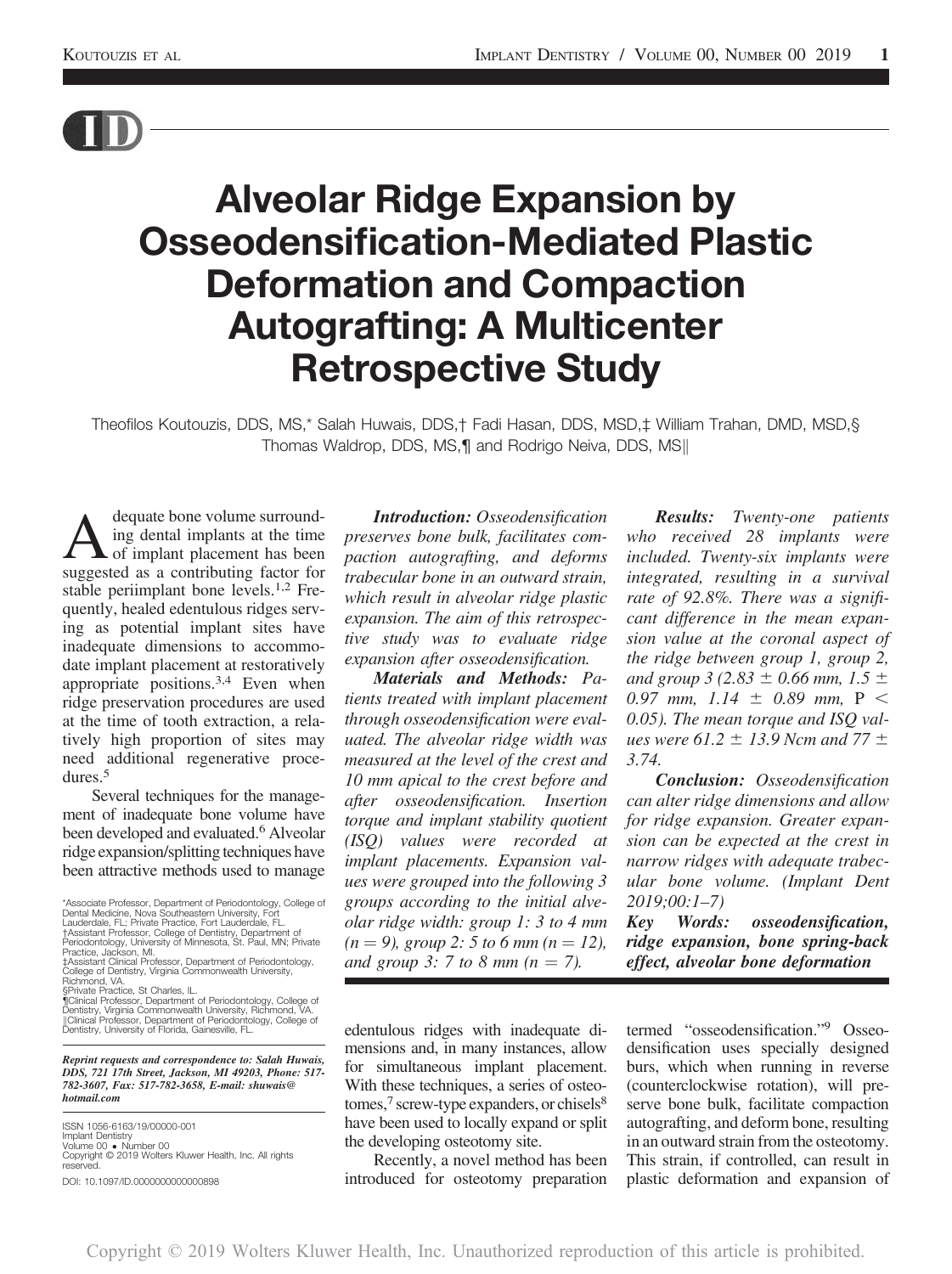

# Alveolar Ridge Expansion by Osseodensification-Mediated Plastic Deformation and Compaction Autografting: A Multicenter Retrospective Study

Theofilos Koutouzis, DDS, MS,\* Salah Huwais, DDS,† Fadi Hasan, DDS, MSD,‡ William Trahan, DMD, MSD,§ Thomas Waldrop, DDS, MS,¶ and Rodrigo Neiva, DDS, MS||

A dequate bone volume surround-<br>of implant placement has been<br>suggested as a contributing factor for ing dental implants at the time suggested as a contributing factor for stable periimplant bone levels.<sup>1,2</sup> Frequently, healed edentulous ridges serving as potential implant sites have inadequate dimensions to accommodate implant placement at restoratively appropriate positions.3,4 Even when ridge preservation procedures are used at the time of tooth extraction, a relatively high proportion of sites may need additional regenerative procedures.<sup>5</sup>

Several techniques for the management of inadequate bone volume have been developed and evaluated.<sup>6</sup> Alveolar ridge expansion/splitting techniques have been attractive methods used to manage

\*Associate Professor, Department of Periodontology, College of Dental Medicine, Nova Southeastern University, Fort Lauderdale, FL; Private Practice, Fort Lauderdale, FL.

†Assistant Professor, College of Dentistry, Department of<br>Periodontology, University of Minnesota, St. Paul, MN; Private<br>Practice, Jackson, MI.<br>‡Assistant Clinical Professor, Department of Periodontology,<br>College of Dentis

Reprint requests and correspondence to: Salah Huwais, DDS, 721 17th Street, Jackson, MI 49203, Phone: 517- 782-3607, Fax: 517-782-3658, E-mail: [shuwais@](mailto:shuwais@hotmail.com) [hotmail.com](mailto:shuwais@hotmail.com)

ISSN 1056-6163/19/00000-001 Implant Dentistry Volume 00 - Number 00 Copyright © 2019 Wolters Kluwer Health, Inc. All rights reserved. DOI: 10.1097/ID.0000000000000898

Introduction: Osseodensification preserves bone bulk, facilitates compaction autografting, and deforms trabecular bone in an outward strain, which result in alveolar ridge plastic expansion. The aim of this retrospective study was to evaluate ridge expansion after osseodensification.

Materials and Methods: Patients treated with implant placement through osseodensification were evaluated. The alveolar ridge width was measured at the level of the crest and 10 mm apical to the crest before and after osseodensification. Insertion torque and implant stability quotient (ISQ) values were recorded at implant placements. Expansion values were grouped into the following 3 groups according to the initial alveolar ridge width: group 1: 3 to 4 mm  $(n = 9)$ , group 2: 5 to 6 mm  $(n = 12)$ , and group 3: 7 to 8 mm  $(n = 7)$ .

edentulous ridges with inadequate dimensions and, in many instances, allow for simultaneous implant placement. With these techniques, a series of osteotomes,<sup>7</sup> screw-type expanders, or chisels<sup>8</sup> have been used to locally expand or split the developing osteotomy site.

Recently, a novel method has been introduced for osteotomy preparation

Results: Twenty-one patients who received 28 implants were included. Twenty-six implants were integrated, resulting in a survival rate of 92.8%. There was a significant difference in the mean expansion value at the coronal aspect of the ridge between group 1, group 2, and group 3 (2.83  $\pm$  0.66 mm, 1.5  $\pm$ 0.97 mm, 1.14  $\pm$  0.89 mm, P < 0.05). The mean torque and ISQ values were 61.2  $\pm$  13.9 Ncm and 77  $\pm$ 3.74.

Conclusion: Osseodensification can alter ridge dimensions and allow for ridge expansion. Greater expansion can be expected at the crest in narrow ridges with adequate trabecular bone volume. (Implant Dent 2019;00:1–7)

Key Words: osseodensification, ridge expansion, bone spring-back effect, alveolar bone deformation

termed "osseodensification."<sup>9</sup> Osseodensification uses specially designed burs, which when running in reverse (counterclockwise rotation), will preserve bone bulk, facilitate compaction autografting, and deform bone, resulting in an outward strain from the osteotomy. This strain, if controlled, can result in plastic deformation and expansion of

<sup>§</sup>Private Practice, St Charles, IL.

<sup>¶</sup>Clinical Professor, Department of Periodontology, College of Dentistry, Virginia Commonwealth University, Richmond, VA. kClinical Professor, Department of Periodontology, College of Dentistry, University of Florida, Gainesville, FL.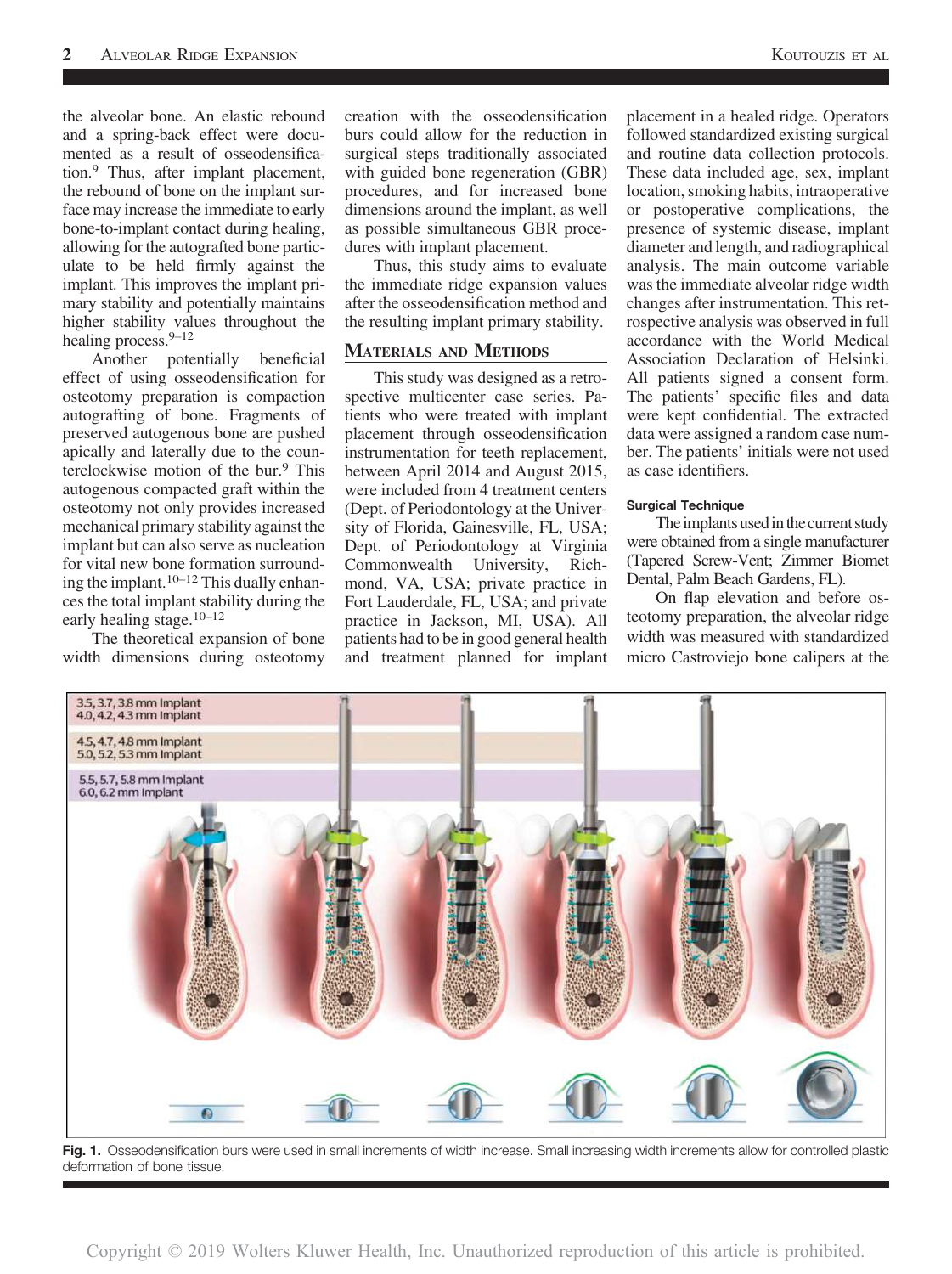the alveolar bone. An elastic rebound and a spring-back effect were documented as a result of osseodensification.9 Thus, after implant placement, the rebound of bone on the implant surface may increase the immediate to early bone-to-implant contact during healing, allowing for the autografted bone particulate to be held firmly against the implant. This improves the implant primary stability and potentially maintains higher stability values throughout the healing process.<sup>9-12</sup>

Another potentially beneficial effect of using osseodensification for osteotomy preparation is compaction autografting of bone. Fragments of preserved autogenous bone are pushed apically and laterally due to the counterclockwise motion of the bur.<sup>9</sup> This autogenous compacted graft within the osteotomy not only provides increased mechanical primary stability against the implant but can also serve as nucleation for vital new bone formation surrounding the implant.  $10-12$  This dually enhances the total implant stability during the early healing stage.10–<sup>12</sup>

The theoretical expansion of bone width dimensions during osteotomy

creation with the osseodensification burs could allow for the reduction in surgical steps traditionally associated with guided bone regeneration (GBR) procedures, and for increased bone dimensions around the implant, as well as possible simultaneous GBR procedures with implant placement.

Thus, this study aims to evaluate the immediate ridge expansion values after the osseodensification method and the resulting implant primary stability.

## MATERIALS AND METHODS

This study was designed as a retrospective multicenter case series. Patients who were treated with implant placement through osseodensification instrumentation for teeth replacement, between April 2014 and August 2015, were included from 4 treatment centers (Dept. of Periodontology at the University of Florida, Gainesville, FL, USA; Dept. of Periodontology at Virginia Commonwealth University, Richmond, VA, USA; private practice in Fort Lauderdale, FL, USA; and private practice in Jackson, MI, USA). All patients had to be in good general health and treatment planned for implant placement in a healed ridge. Operators followed standardized existing surgical and routine data collection protocols. These data included age, sex, implant location, smoking habits, intraoperative or postoperative complications, the presence of systemic disease, implant diameter and length, and radiographical analysis. The main outcome variable was the immediate alveolar ridge width changes after instrumentation. This retrospective analysis was observed in full accordance with the World Medical Association Declaration of Helsinki. All patients signed a consent form. The patients' specific files and data were kept confidential. The extracted data were assigned a random case number. The patients' initials were not used as case identifiers.

## Surgical Technique

The implants used in the current study were obtained from a single manufacturer (Tapered Screw-Vent; Zimmer Biomet Dental, Palm Beach Gardens, FL).

On flap elevation and before osteotomy preparation, the alveolar ridge width was measured with standardized micro Castroviejo bone calipers at the



Fig. 1. Osseodensification burs were used in small increments of width increase. Small increasing width increments allow for controlled plastic deformation of bone tissue.

Copyright © 2019 Wolters Kluwer Health, Inc. Unauthorized reproduction of this article is prohibited.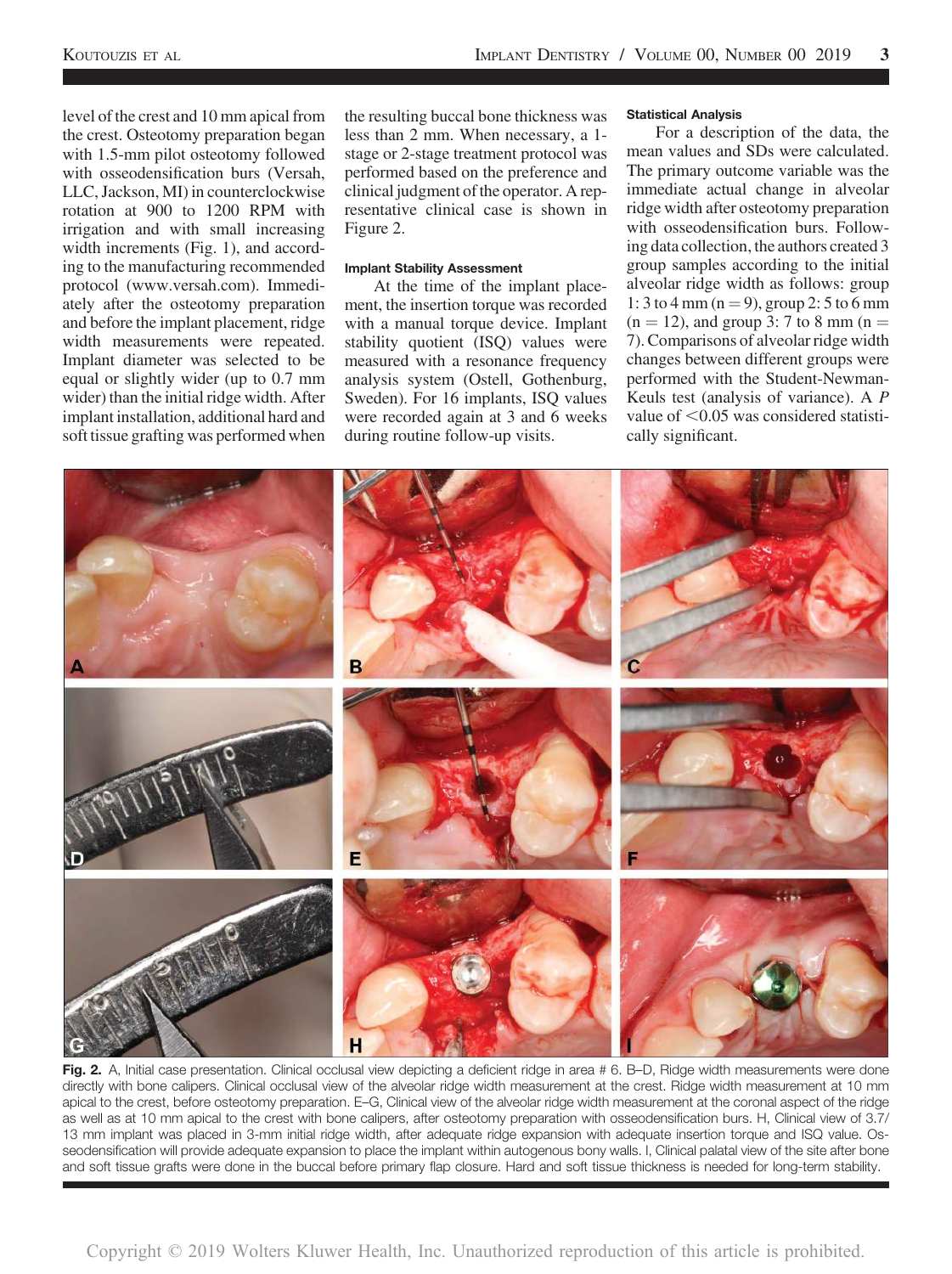level of the crest and 10 mm apical from the crest. Osteotomy preparation began with 1.5-mm pilot osteotomy followed with osseodensification burs (Versah, LLC, Jackson, MI) in counterclockwise rotation at 900 to 1200 RPM with irrigation and with small increasing width increments (Fig. 1), and according to the manufacturing recommended protocol [\(www.versah.com\)](http://www.versah.com). Immediately after the osteotomy preparation and before the implant placement, ridge width measurements were repeated. Implant diameter was selected to be equal or slightly wider (up to 0.7 mm wider) than the initial ridge width. After implant installation, additional hard and soft tissue grafting was performed when

the resulting buccal bone thickness was less than 2 mm. When necessary, a 1 stage or 2-stage treatment protocol was performed based on the preference and clinical judgment of the operator. A representative clinical case is shown in Figure 2.

#### Implant Stability Assessment

At the time of the implant placement, the insertion torque was recorded with a manual torque device. Implant stability quotient (ISQ) values were measured with a resonance frequency analysis system (Ostell, Gothenburg, Sweden). For 16 implants, ISQ values were recorded again at 3 and 6 weeks during routine follow-up visits.

#### Statistical Analysis

For a description of the data, the mean values and SDs were calculated. The primary outcome variable was the immediate actual change in alveolar ridge width after osteotomy preparation with osseodensification burs. Following data collection, the authors created 3 group samples according to the initial alveolar ridge width as follows: group 1: 3 to 4 mm ( $n = 9$ ), group 2: 5 to 6 mm  $(n = 12)$ , and group 3: 7 to 8 mm  $(n = 12)$ 7). Comparisons of alveolar ridge width changes between different groups were performed with the Student-Newman-Keuls test (analysis of variance). A P value of  $\leq$  0.05 was considered statistically significant.



Fig. 2. A, Initial case presentation. Clinical occlusal view depicting a deficient ridge in area # 6. B–D, Ridge width measurements were done directly with bone calipers. Clinical occlusal view of the alveolar ridge width measurement at the crest. Ridge width measurement at 10 mm apical to the crest, before osteotomy preparation. E–G, Clinical view of the alveolar ridge width measurement at the coronal aspect of the ridge as well as at 10 mm apical to the crest with bone calipers, after osteotomy preparation with osseodensification burs. H, Clinical view of 3.7/ 13 mm implant was placed in 3-mm initial ridge width, after adequate ridge expansion with adequate insertion torque and ISQ value. Osseodensification will provide adequate expansion to place the implant within autogenous bony walls. I, Clinical palatal view of the site after bone and soft tissue grafts were done in the buccal before primary flap closure. Hard and soft tissue thickness is needed for long-term stability.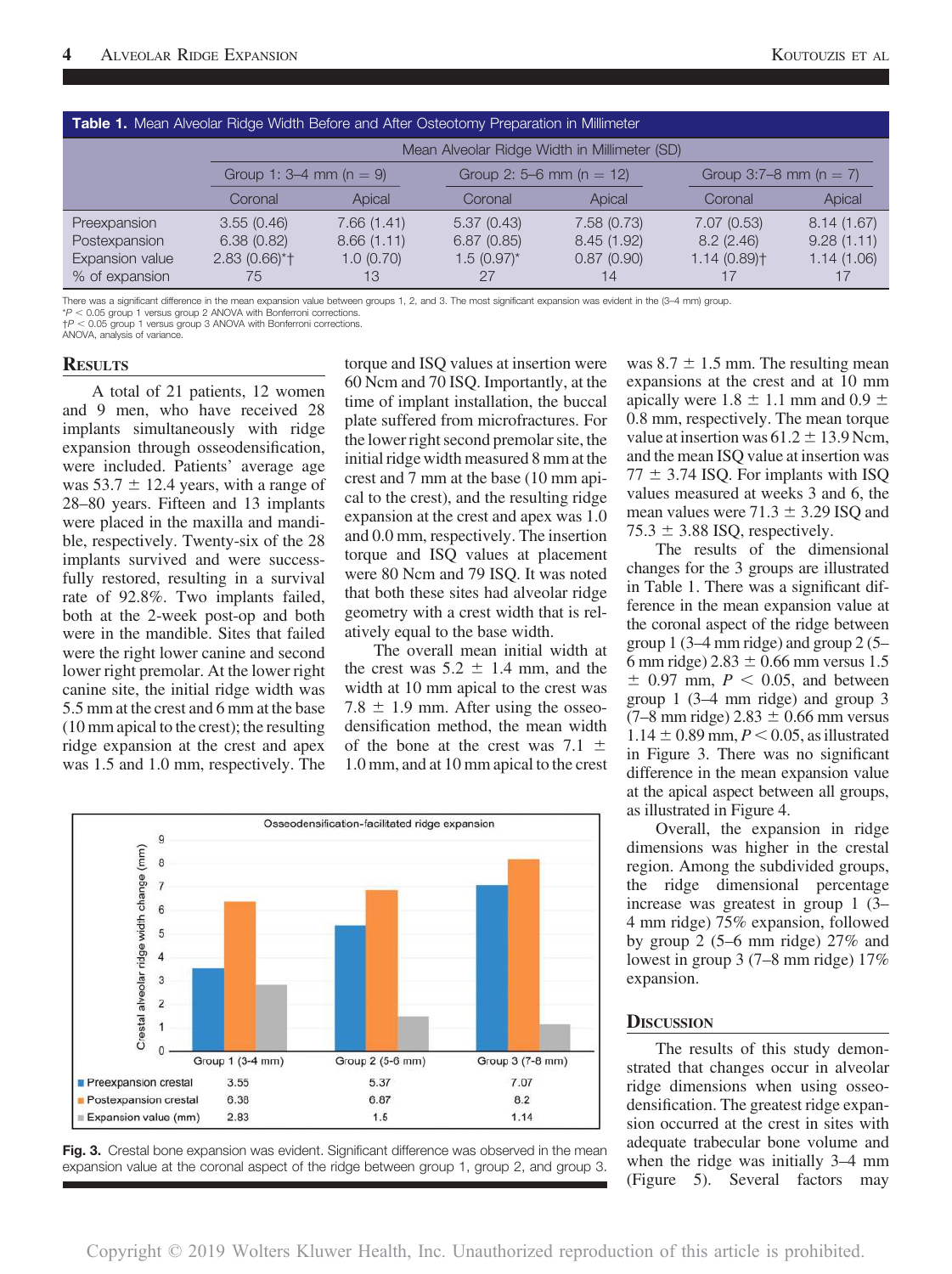| Table 1. Mean Alveolar Ridge Width Before and After Osteotomy Preparation in Millimeter |                                              |            |                              |            |                            |            |
|-----------------------------------------------------------------------------------------|----------------------------------------------|------------|------------------------------|------------|----------------------------|------------|
|                                                                                         | Mean Alveolar Ridge Width in Millimeter (SD) |            |                              |            |                            |            |
|                                                                                         | Group 1: 3–4 mm ( $n = 9$ )                  |            | Group 2: 5–6 mm ( $n = 12$ ) |            | Group 3:7–8 mm ( $n = 7$ ) |            |
|                                                                                         | Coronal                                      | Apical     | Coronal                      | Apical     | Coronal                    | Apical     |
| Preexpansion                                                                            | 3.55(0.46)                                   | 7.66(1.41) | 5.37(0.43)                   | 7.58(0.73) | 7.07(0.53)                 | 8.14(1.67) |
| Postexpansion                                                                           | 6.38(0.82)                                   | 8.66(1.11) | 6.87(0.85)                   | 8.45(1.92) | 8.2(2.46)                  | 9.28(1.11) |
| Expansion value                                                                         | $2.83(0.66)$ <sup>*</sup>                    | 1.0(0.70)  | $1.5(0.97)$ *                | 0.87(0.90) | $1.14(0.89)$ <sup>+</sup>  | 1.14(1.06) |
| % of expansion                                                                          | 75                                           | 13         | 27                           | 14         |                            |            |

There was a significant difference in the mean expansion value between groups 1, 2, and 3. The most significant expansion was evident in the (3–4 mm) group.  $*P < 0.05$  group 1 versus group 2 ANOVA with Bonferroni corrections.

 $+P < 0.05$  group 1 versus group 3 ANOVA with Bonferroni corrections. ANOVA, analysis of variance.

# **RESULTS**

A total of 21 patients, 12 women and 9 men, who have received 28 implants simultaneously with ridge expansion through osseodensification, were included. Patients' average age was  $53.7 \pm 12.4$  years, with a range of 28–80 years. Fifteen and 13 implants were placed in the maxilla and mandible, respectively. Twenty-six of the 28 implants survived and were successfully restored, resulting in a survival rate of 92.8%. Two implants failed, both at the 2-week post-op and both were in the mandible. Sites that failed were the right lower canine and second lower right premolar. At the lower right canine site, the initial ridge width was 5.5 mm at the crest and 6 mm at the base (10 mm apical to the crest); the resulting ridge expansion at the crest and apex was 1.5 and 1.0 mm, respectively. The

torque and ISQ values at insertion were 60 Ncm and 70 ISQ. Importantly, at the time of implant installation, the buccal plate suffered from microfractures. For the lower right second premolar site, the initial ridge width measured 8 mm at the crest and 7 mm at the base (10 mm apical to the crest), and the resulting ridge expansion at the crest and apex was 1.0 and 0.0 mm, respectively. The insertion torque and ISQ values at placement were 80 Ncm and 79 ISQ. It was noted that both these sites had alveolar ridge geometry with a crest width that is relatively equal to the base width.

The overall mean initial width at the crest was  $5.2 \pm 1.4$  mm, and the width at 10 mm apical to the crest was 7.8  $\pm$  1.9 mm. After using the osseodensification method, the mean width of the bone at the crest was 7.1  $\pm$ 1.0 mm, and at 10 mm apical to the crest





was  $8.7 \pm 1.5$  mm. The resulting mean expansions at the crest and at 10 mm apically were 1.8  $\pm$  1.1 mm and 0.9  $\pm$ 0.8 mm, respectively. The mean torque value at insertion was  $61.2 \pm 13.9$  Ncm, and the mean ISQ value at insertion was  $77 \pm 3.74$  ISQ. For implants with ISQ values measured at weeks 3 and 6, the mean values were  $71.3 \pm 3.29$  ISQ and  $75.3 \pm 3.88$  ISQ, respectively.

The results of the dimensional changes for the 3 groups are illustrated in Table 1. There was a significant difference in the mean expansion value at the coronal aspect of the ridge between group 1 (3–4 mm ridge) and group 2 (5– 6 mm ridge)  $2.83 \pm 0.66$  mm versus 1.5  $\pm$  0.97 mm,  $P < 0.05$ , and between group 1 (3–4 mm ridge) and group 3  $(7–8 \text{ mm ridge})$  2.83  $\pm$  0.66 mm versus  $1.14 \pm 0.89$  mm,  $P < 0.05$ , as illustrated in Figure 3. There was no significant difference in the mean expansion value at the apical aspect between all groups, as illustrated in Figure 4.

Overall, the expansion in ridge dimensions was higher in the crestal region. Among the subdivided groups, the ridge dimensional percentage increase was greatest in group 1 (3– 4 mm ridge) 75% expansion, followed by group 2 (5–6 mm ridge) 27% and lowest in group 3 (7–8 mm ridge) 17% expansion.

## **DISCUSSION**

The results of this study demonstrated that changes occur in alveolar ridge dimensions when using osseodensification. The greatest ridge expansion occurred at the crest in sites with adequate trabecular bone volume and when the ridge was initially 3–4 mm (Figure 5). Several factors may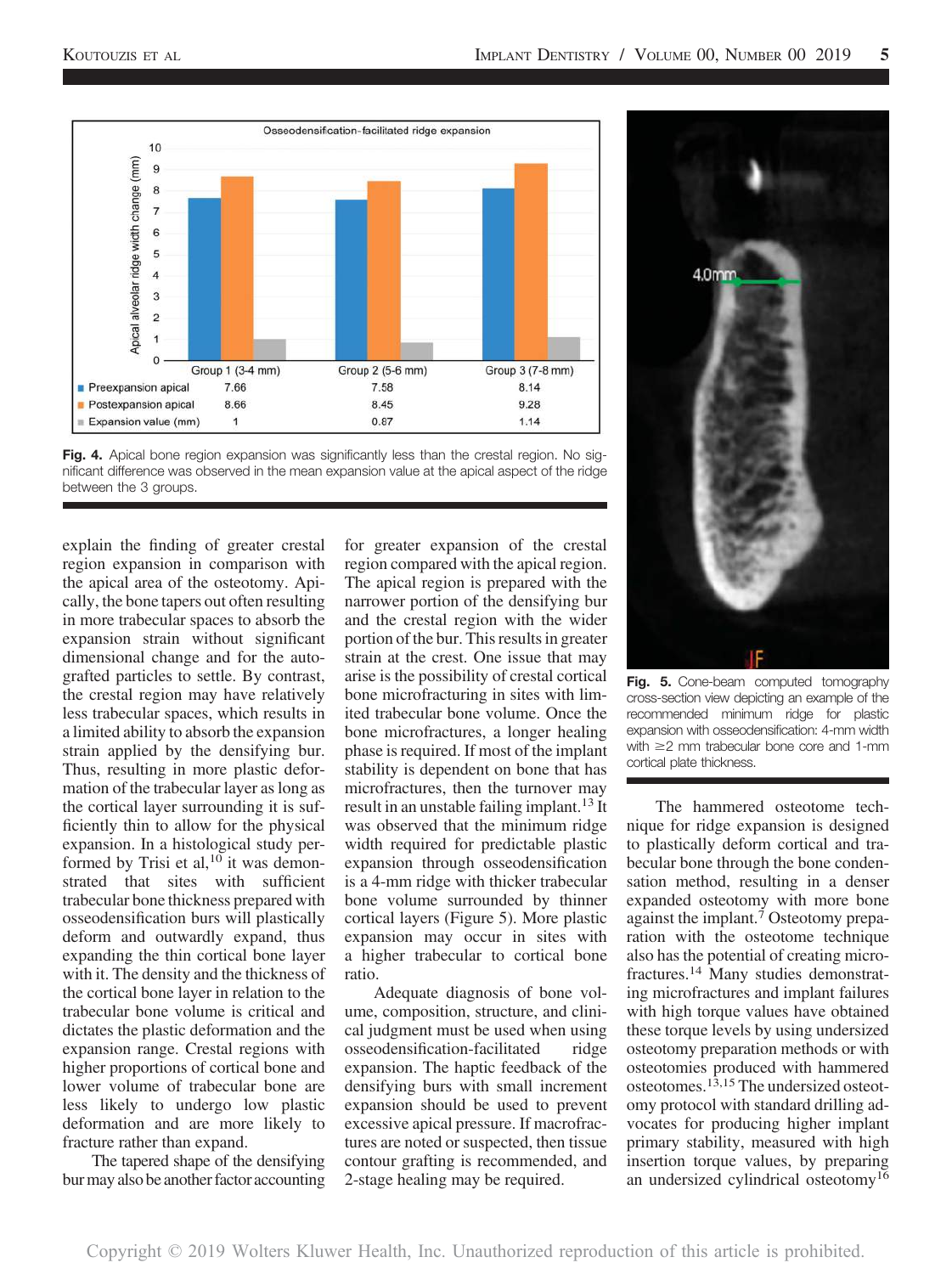



explain the finding of greater crestal region expansion in comparison with the apical area of the osteotomy. Apically, the bone tapers out often resulting in more trabecular spaces to absorb the expansion strain without significant dimensional change and for the autografted particles to settle. By contrast, the crestal region may have relatively less trabecular spaces, which results in a limited ability to absorb the expansion strain applied by the densifying bur. Thus, resulting in more plastic deformation of the trabecular layer as long as the cortical layer surrounding it is sufficiently thin to allow for the physical expansion. In a histological study performed by Trisi et al,  $10$  it was demonstrated that sites with sufficient trabecular bone thickness prepared with osseodensification burs will plastically deform and outwardly expand, thus expanding the thin cortical bone layer with it. The density and the thickness of the cortical bone layer in relation to the trabecular bone volume is critical and dictates the plastic deformation and the expansion range. Crestal regions with higher proportions of cortical bone and lower volume of trabecular bone are less likely to undergo low plastic deformation and are more likely to fracture rather than expand.

The tapered shape of the densifying bur may also be another factor accounting

for greater expansion of the crestal region compared with the apical region. The apical region is prepared with the narrower portion of the densifying bur and the crestal region with the wider portion of the bur. This results in greater strain at the crest. One issue that may arise is the possibility of crestal cortical bone microfracturing in sites with limited trabecular bone volume. Once the bone microfractures, a longer healing phase is required. If most of the implant stability is dependent on bone that has microfractures, then the turnover may result in an unstable failing implant.<sup>13</sup> It was observed that the minimum ridge width required for predictable plastic expansion through osseodensification is a 4-mm ridge with thicker trabecular bone volume surrounded by thinner cortical layers (Figure 5). More plastic expansion may occur in sites with a higher trabecular to cortical bone ratio.

Adequate diagnosis of bone volume, composition, structure, and clinical judgment must be used when using osseodensification-facilitated ridge expansion. The haptic feedback of the densifying burs with small increment expansion should be used to prevent excessive apical pressure. If macrofractures are noted or suspected, then tissue contour grafting is recommended, and 2-stage healing may be required.



Fig. 5. Cone-beam computed tomography cross-section view depicting an example of the recommended minimum ridge for plastic expansion with osseodensification: 4-mm width with  $\geq$  mm trabecular bone core and 1-mm cortical plate thickness.

The hammered osteotome technique for ridge expansion is designed to plastically deform cortical and trabecular bone through the bone condensation method, resulting in a denser expanded osteotomy with more bone against the implant.<sup>7</sup> Osteotomy preparation with the osteotome technique also has the potential of creating microfractures.14 Many studies demonstrating microfractures and implant failures with high torque values have obtained these torque levels by using undersized osteotomy preparation methods or with osteotomies produced with hammered osteotomes.<sup>13,15</sup> The undersized osteotomy protocol with standard drilling advocates for producing higher implant primary stability, measured with high insertion torque values, by preparing an undersized cylindrical osteotomy<sup>16</sup>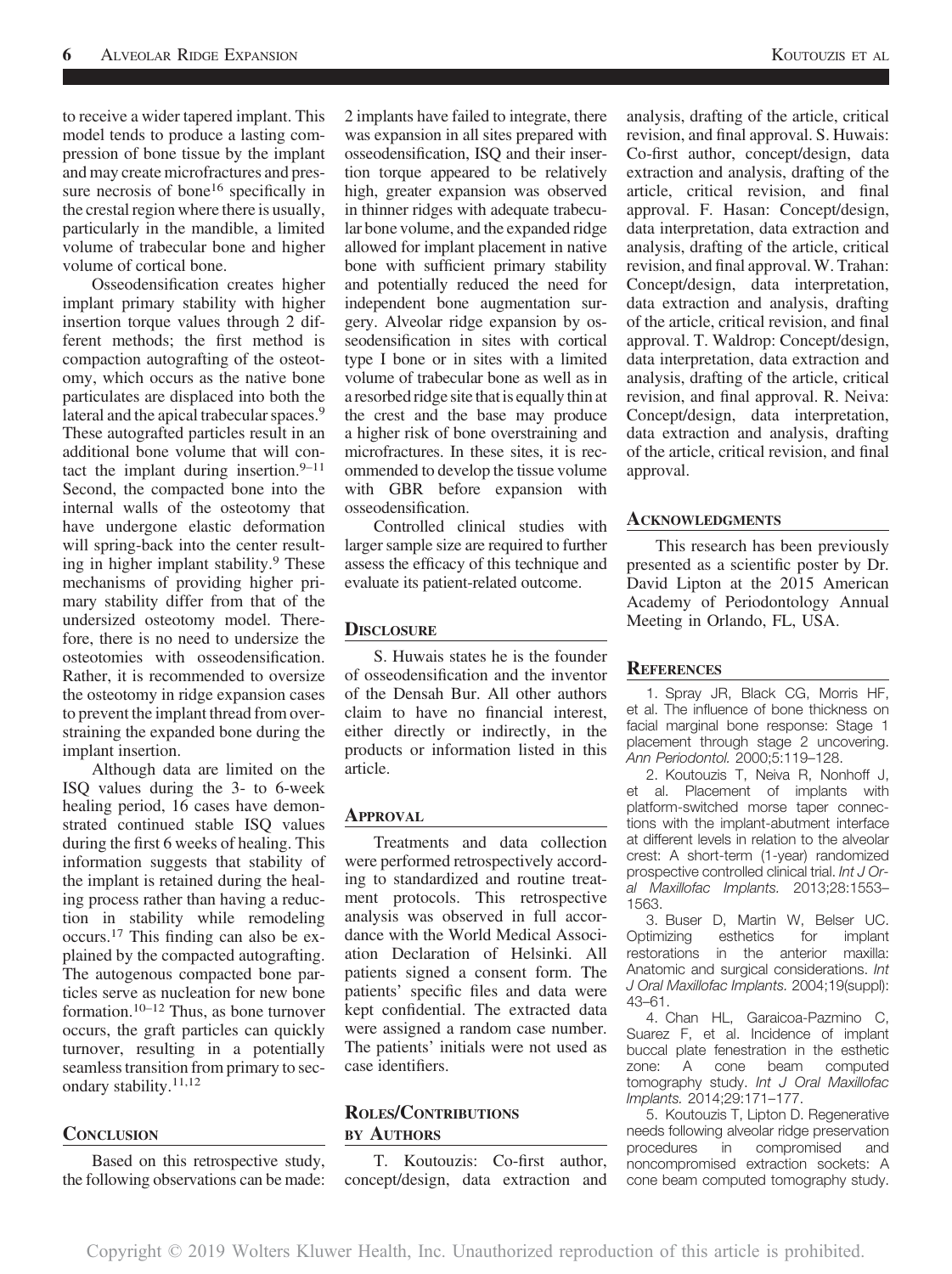to receive a wider tapered implant. This model tends to produce a lasting compression of bone tissue by the implant and may create microfractures and pressure necrosis of bone<sup>16</sup> specifically in the crestal region where there is usually, particularly in the mandible, a limited volume of trabecular bone and higher volume of cortical bone.

Osseodensification creates higher implant primary stability with higher insertion torque values through 2 different methods; the first method is compaction autografting of the osteotomy, which occurs as the native bone particulates are displaced into both the lateral and the apical trabecular spaces.<sup>9</sup> These autografted particles result in an additional bone volume that will contact the implant during insertion. $9-11$ Second, the compacted bone into the internal walls of the osteotomy that have undergone elastic deformation will spring-back into the center resulting in higher implant stability.<sup>9</sup> These mechanisms of providing higher primary stability differ from that of the undersized osteotomy model. Therefore, there is no need to undersize the osteotomies with osseodensification. Rather, it is recommended to oversize the osteotomy in ridge expansion cases to prevent the implant thread from overstraining the expanded bone during the implant insertion.

Although data are limited on the ISQ values during the 3- to 6-week healing period, 16 cases have demonstrated continued stable ISQ values during the first 6 weeks of healing. This information suggests that stability of the implant is retained during the healing process rather than having a reduction in stability while remodeling occurs.<sup>17</sup> This finding can also be explained by the compacted autografting. The autogenous compacted bone particles serve as nucleation for new bone formation.<sup>10–12</sup> Thus, as bone turnover occurs, the graft particles can quickly turnover, resulting in a potentially seamless transition from primary to secondary stability.<sup>11,12</sup>

## **CONCLUSION**

Based on this retrospective study, the following observations can be made:

2 implants have failed to integrate, there was expansion in all sites prepared with osseodensification, ISQ and their insertion torque appeared to be relatively high, greater expansion was observed in thinner ridges with adequate trabecular bone volume, and the expanded ridge allowed for implant placement in native bone with sufficient primary stability and potentially reduced the need for independent bone augmentation surgery. Alveolar ridge expansion by osseodensification in sites with cortical type I bone or in sites with a limited volume of trabecular bone as well as in a resorbed ridge site that is equally thin at the crest and the base may produce a higher risk of bone overstraining and microfractures. In these sites, it is recommended to develop the tissue volume with GBR before expansion with osseodensification.

Controlled clinical studies with larger sample size are required to further assess the efficacy of this technique and evaluate its patient-related outcome.

#### **DISCLOSURE**

S. Huwais states he is the founder of osseodensification and the inventor of the Densah Bur. All other authors claim to have no financial interest, either directly or indirectly, in the products or information listed in this article.

#### APPROVAL

Treatments and data collection were performed retrospectively according to standardized and routine treatment protocols. This retrospective analysis was observed in full accordance with the World Medical Association Declaration of Helsinki. All patients signed a consent form. The patients' specific files and data were kept confidential. The extracted data were assigned a random case number. The patients' initials were not used as case identifiers.

# ROLES/CONTRIBUTIONS BY AUTHORS

T. Koutouzis: Co-first author, concept/design, data extraction and analysis, drafting of the article, critical revision, and final approval. S. Huwais: Co-first author, concept/design, data extraction and analysis, drafting of the article, critical revision, and final approval. F. Hasan: Concept/design, data interpretation, data extraction and analysis, drafting of the article, critical revision, and final approval. W. Trahan: Concept/design, data interpretation, data extraction and analysis, drafting of the article, critical revision, and final approval. T. Waldrop: Concept/design, data interpretation, data extraction and analysis, drafting of the article, critical revision, and final approval. R. Neiva: Concept/design, data interpretation, data extraction and analysis, drafting of the article, critical revision, and final approval.

#### **ACKNOWLEDGMENTS**

This research has been previously presented as a scientific poster by Dr. David Lipton at the 2015 American Academy of Periodontology Annual Meeting in Orlando, FL, USA.

### **REFERENCES**

1. Spray JR, Black CG, Morris HF, et al. The influence of bone thickness on facial marginal bone response: Stage 1 placement through stage 2 uncovering. Ann Periodontol. 2000;5:119–128.

2. Koutouzis T, Neiva R, Nonhoff J, et al. Placement of implants with platform-switched morse taper connections with the implant-abutment interface at different levels in relation to the alveolar crest: A short-term (1-year) randomized prospective controlled clinical trial. Int J Oral Maxillofac Implants. 2013;28:1553– 1563.

3. Buser D, Martin W, Belser UC. Optimizing esthetics for implant restorations in the anterior maxilla: Anatomic and surgical considerations. Int J Oral Maxillofac Implants. 2004;19(suppl): 43–61.

4. Chan HL, Garaicoa-Pazmino C, Suarez F, et al. Incidence of implant buccal plate fenestration in the esthetic zone: A cone beam computed tomography study. Int J Oral Maxillofac Implants. 2014;29:171–177.

5. Koutouzis T, Lipton D. Regenerative needs following alveolar ridge preservation procedures in compromised and noncompromised extraction sockets: A cone beam computed tomography study.